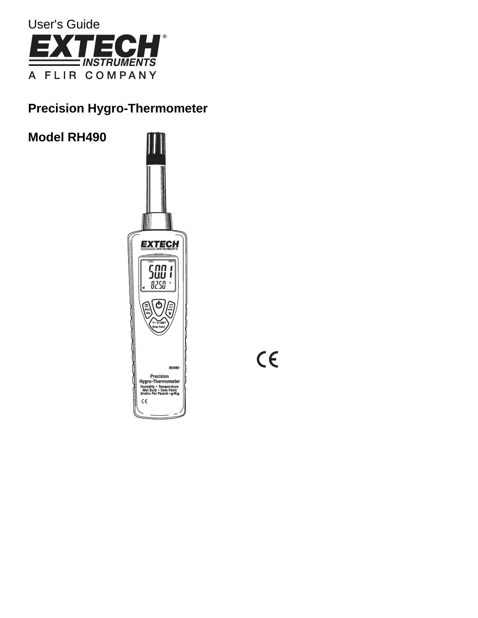

# **Precision Hygro-Thermometer**

**Model RH490**I **EXTECH** החת<br>נונגר  $\blacksquare$ I 8250 **RH490** Precision<br>Hygro-Thermometer<br>Humidity • Temperature<br>Wet Bulb • Dew Point<br>Grains Per Pound • g/Kg  $\varsigma\epsilon$ 

 $C \in$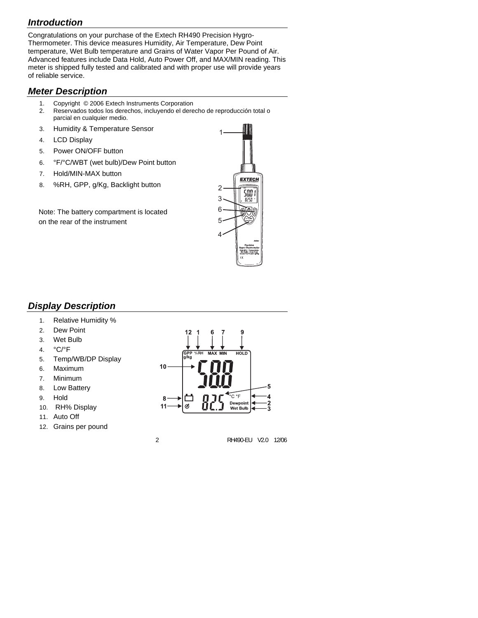## *Introduction*

Congratulations on your purchase of the Extech RH490 Precision Hygro-Thermometer. This device measures Humidity, Air Temperature, Dew Point temperature, Wet Bulb temperature and Grains of Water Vapor Per Pound of Air. Advanced features include Data Hold, Auto Power Off, and MAX/MIN reading. This meter is shipped fully tested and calibrated and with proper use will provide years of reliable service.

### *Meter Description*

- 1. Copyright © 2006 Extech Instruments Corporation
- 2. Reservados todos los derechos, incluyendo el derecho de reproducción total o parcial en cualquier medio.
- 3. Humidity & Temperature Sensor
- 4. LCD Display
- 5. Power ON/OFF button
- 6. °F/°C/WBT (wet bulb)/Dew Point button
- 7. Hold/MIN-MAX button
- 8. %RH, GPP, g/Kg, Backlight button

Note: The battery compartment is located on the rear of the instrument



# *Display Description*

- 1. Relative Humidity %
- 2. Dew Point
- 3. Wet Bulb
- 4. °C/°F
- 5. Temp/WB/DP Display
- 6. Maximum
- 7. Minimum
- 8. Low Battery
- 9. Hold
- 10. RH% Display
- 11. Auto Off
- 12. Grains per pound

12 **HOLD** /ka  $10$ 5 °C °F 8 Dewpoin Ø Donponne<br>Wet Bulb

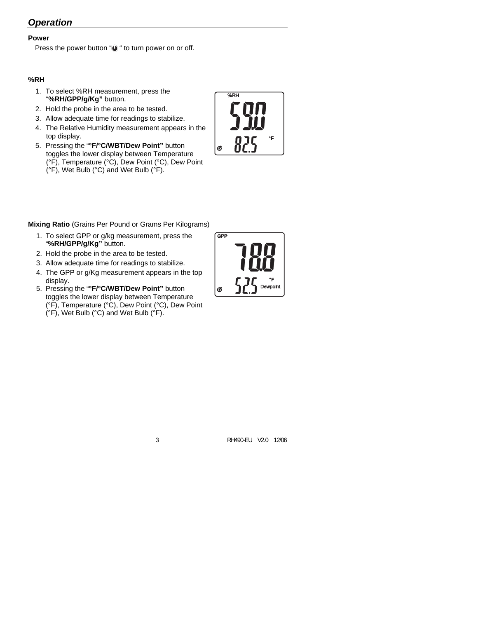# *Operation*

### **Power**

Press the power button " $\bigcirc$ " to turn power on or off.

### **%RH**

- 1. To select %RH measurement, press the "**%RH/GPP/g/Kg"** button.
- 2. Hold the probe in the area to be tested.
- 3. Allow adequate time for readings to stabilize.
- 4. The Relative Humidity measurement appears in the top display.
- 5. Pressing the "**°F/°C/WBT/Dew Point"** button toggles the lower display between Temperature (°F), Temperature (°C), Dew Point (°C), Dew Point (°F), Wet Bulb (°C) and Wet Bulb (°F).

 $%RH$ Ø

**Mixing Ratio** (Grains Per Pound or Grams Per Kilograms)

- 1. To select GPP or g/kg measurement, press the "**%RH/GPP/g/Kg"** button.
- 2. Hold the probe in the area to be tested.
- 3. Allow adequate time for readings to stabilize.
- 4. The GPP or g/Kg measurement appears in the top display.
- 5. Pressing the "**°F/°C/WBT/Dew Point"** button toggles the lower display between Temperature (°F), Temperature (°C), Dew Point (°C), Dew Point (°F), Wet Bulb (°C) and Wet Bulb (°F).

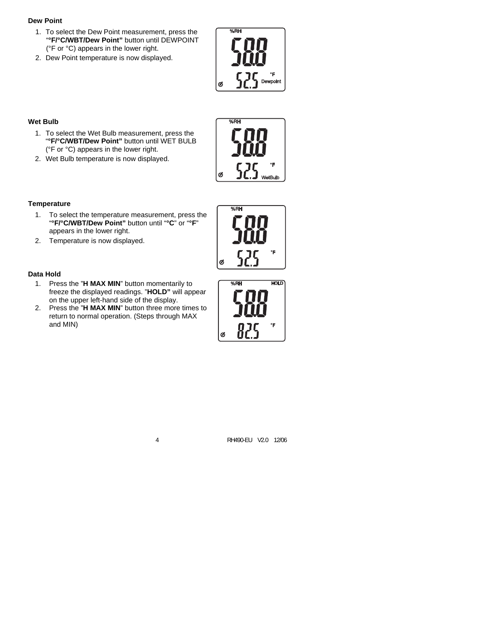#### **Dew Point**

- 1. To select the Dew Point measurement, press the "**°F/°C/WBT/Dew Point"** button until DEWPOINT (°F or °C) appears in the lower right.
- 2. Dew Point temperature is now displayed.



#### **Wet Bulb**

- 1. To select the Wet Bulb measurement, press the "**°F/°C/WBT/Dew Point"** button until WET BULB (°F or °C) appears in the lower right.
- 2. Wet Bulb temperature is now displayed.

#### **Temperature**

- 1. To select the temperature measurement, press the "**°F/°C/WBT/Dew Point"** button until "**°C**" or "**°F**" appears in the lower right.
- 2. Temperature is now displayed.

#### **Data Hold**

- 1. Press the "**H MAX MIN**" button momentarily to freeze the displayed readings. "**HOLD"** will appear on the upper left-hand side of the display.
- 2. Press the "**H MAX MIN**" button three more times to return to normal operation. (Steps through MAX and MIN)





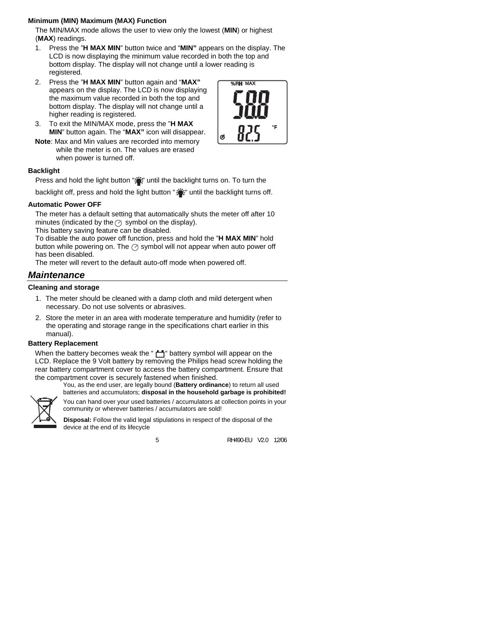#### **Minimum (MIN) Maximum (MAX) Function**

The MIN/MAX mode allows the user to view only the lowest (**MIN**) or highest (**MAX**) readings.

- 1. Press the "**H MAX MIN**" button twice and "**MIN"** appears on the display. The LCD is now displaying the minimum value recorded in both the top and bottom display. The display will not change until a lower reading is registered.
- 2. Press the "**H MAX MIN**" button again and "**MAX"** appears on the display. The LCD is now displaying the maximum value recorded in both the top and bottom display. The display will not change until a higher reading is registered.
- 3. To exit the MIN/MAX mode, press the "**H MAX MIN**" button again. The "**MAX"** icon will disappear.
- **Note**: Max and Min values are recorded into memory while the meter is on. The values are erased when power is turned off.

#### **Backlight**

Press and hold the light button "it" until the backlight turns on. To turn the

backlight off, press and hold the light button ":": " until the backlight turns off.

#### **Automatic Power OFF**

The meter has a default setting that automatically shuts the meter off after 10 minutes (indicated by the  $\oslash$  symbol on the display).

This battery saving feature can be disabled.

To disable the auto power off function, press and hold the "**H MAX MIN**" hold button while powering on. The  $\oslash$  symbol will not appear when auto power off has been disabled.

The meter will revert to the default auto-off mode when powered off.

### *Maintenance*

#### **Cleaning and storage**

- 1. The meter should be cleaned with a damp cloth and mild detergent when necessary. Do not use solvents or abrasives.
- 2. Store the meter in an area with moderate temperature and humidity (refer to the operating and storage range in the specifications chart earlier in this manual).

#### **Battery Replacement**

When the battery becomes weak the "" battery symbol will appear on the LCD. Replace the 9 Volt battery by removing the Philips head screw holding the rear battery compartment cover to access the battery compartment. Ensure that the compartment cover is securely fastened when finished.

You, as the end user, are legally bound (**Battery ordinance**) to return all used batteries and accumulators; **disposal in the household garbage is prohibited!**



You can hand over your used batteries / accumulators at collection points in your community or wherever batteries / accumulators are sold!

**Disposal:** Follow the valid legal stipulations in respect of the disposal of the device at the end of its lifecycle